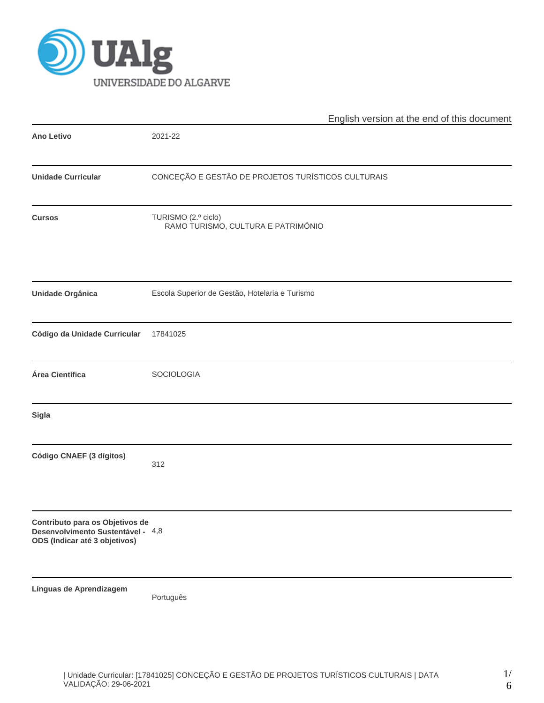

|                                                                                                       | English version at the end of this document               |  |  |  |  |  |  |
|-------------------------------------------------------------------------------------------------------|-----------------------------------------------------------|--|--|--|--|--|--|
| <b>Ano Letivo</b>                                                                                     | 2021-22                                                   |  |  |  |  |  |  |
| <b>Unidade Curricular</b>                                                                             | CONCEÇÃO E GESTÃO DE PROJETOS TURÍSTICOS CULTURAIS        |  |  |  |  |  |  |
| <b>Cursos</b>                                                                                         | TURISMO (2.º ciclo)<br>RAMO TURISMO, CULTURA E PATRIMÓNIO |  |  |  |  |  |  |
| <b>Unidade Orgânica</b>                                                                               | Escola Superior de Gestão, Hotelaria e Turismo            |  |  |  |  |  |  |
| Código da Unidade Curricular                                                                          | 17841025                                                  |  |  |  |  |  |  |
| Área Científica                                                                                       | SOCIOLOGIA                                                |  |  |  |  |  |  |
| Sigla                                                                                                 |                                                           |  |  |  |  |  |  |
| Código CNAEF (3 dígitos)                                                                              | 312                                                       |  |  |  |  |  |  |
| Contributo para os Objetivos de<br>Desenvolvimento Sustentável - 4,8<br>ODS (Indicar até 3 objetivos) |                                                           |  |  |  |  |  |  |
| Línguas de Aprendizagem                                                                               | Português                                                 |  |  |  |  |  |  |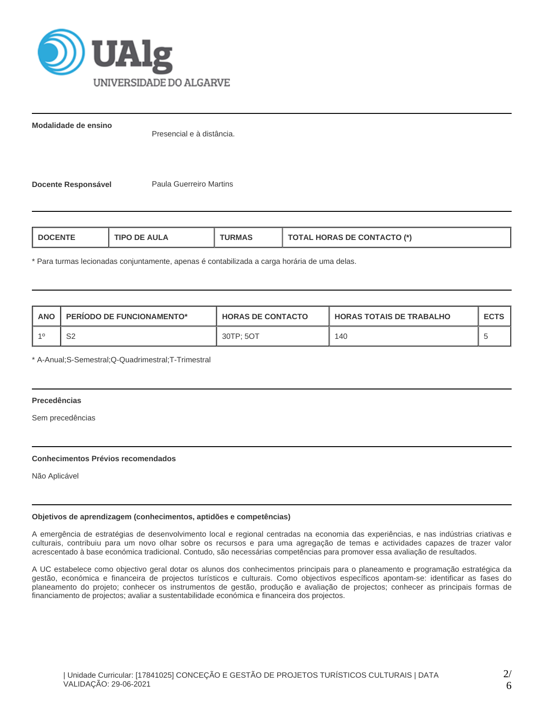

**Modalidade de ensino**

Presencial e à distância.

**Docente Responsável Paula Guerreiro Martins** 

| <b>AULA</b><br><b>TIPC</b><br>"RMAL<br>nF.<br>-NTE | <b>TOTAL HORAS DE CONTACTO (*)</b> |
|----------------------------------------------------|------------------------------------|
|----------------------------------------------------|------------------------------------|

\* Para turmas lecionadas conjuntamente, apenas é contabilizada a carga horária de uma delas.

| <b>ANO</b> | <b>PERIODO DE FUNCIONAMENTO*</b> | <b>HORAS DE CONTACTO</b> | <b>I HORAS TOTAIS DE TRABALHO</b> | <b>ECTS</b> |
|------------|----------------------------------|--------------------------|-----------------------------------|-------------|
|            | S2                               | 30TP: 5OT                | 140                               |             |

\* A-Anual;S-Semestral;Q-Quadrimestral;T-Trimestral

# **Precedências**

Sem precedências

## **Conhecimentos Prévios recomendados**

Não Aplicável

## **Objetivos de aprendizagem (conhecimentos, aptidões e competências)**

A emergência de estratégias de desenvolvimento local e regional centradas na economia das experiências, e nas indústrias criativas e culturais, contribuiu para um novo olhar sobre os recursos e para uma agregação de temas e actividades capazes de trazer valor acrescentado à base económica tradicional. Contudo, são necessárias competências para promover essa avaliação de resultados.

A UC estabelece como objectivo geral dotar os alunos dos conhecimentos principais para o planeamento e programação estratégica da gestão, económica e financeira de projectos turísticos e culturais. Como objectivos específicos apontam-se: identificar as fases do planeamento do projeto; conhecer os instrumentos de gestão, produção e avaliação de projectos; conhecer as principais formas de financiamento de projectos; avaliar a sustentabilidade económica e financeira dos projectos.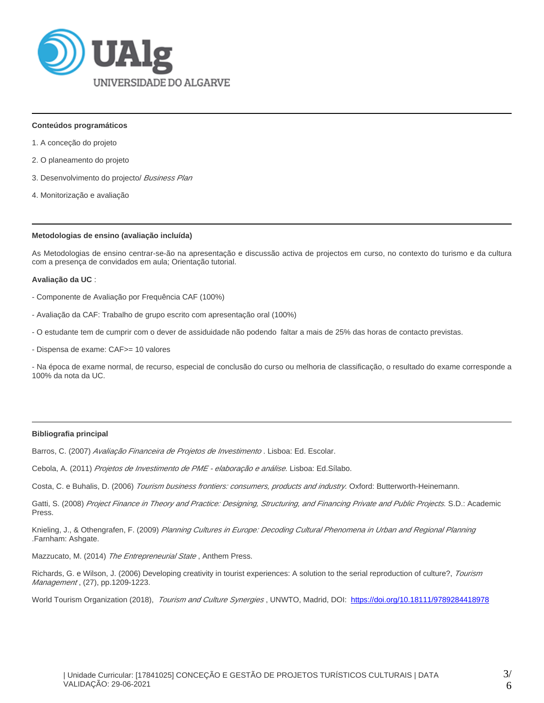

## **Conteúdos programáticos**

- 1. A conceção do projeto
- 2. O planeamento do projeto
- 3. Desenvolvimento do projecto/ Business Plan
- 4. Monitorização e avaliação

#### **Metodologias de ensino (avaliação incluída)**

As Metodologias de ensino centrar-se-ão na apresentação e discussão activa de projectos em curso, no contexto do turismo e da cultura com a presença de convidados em aula; Orientação tutorial.

#### **Avaliação da UC** :

- Componente de Avaliação por Frequência CAF (100%)
- Avaliação da CAF: Trabalho de grupo escrito com apresentação oral (100%)
- O estudante tem de cumprir com o dever de assiduidade não podendo faltar a mais de 25% das horas de contacto previstas.
- Dispensa de exame: CAF>= 10 valores

- Na época de exame normal, de recurso, especial de conclusão do curso ou melhoria de classificação, o resultado do exame corresponde a 100% da nota da UC.

# **Bibliografia principal**

Barros, C. (2007) Avaliação Financeira de Projetos de Investimento. Lisboa: Ed. Escolar.

Cebola, A. (2011) Projetos de Investimento de PME - elaboração e análise. Lisboa: Ed.Sílabo.

Costa, C. e Buhalis, D. (2006) Tourism business frontiers: consumers, products and industry. Oxford: Butterworth-Heinemann.

Gatti, S. (2008) Project Finance in Theory and Practice: Designing, Structuring, and Financing Private and Public Projects. S.D.: Academic Press.

Knieling, J., & Othengrafen, F. (2009) Planning Cultures in Europe: Decoding Cultural Phenomena in Urban and Regional Planning .Farnham: Ashgate.

Mazzucato, M. (2014) The Entrepreneurial State, Anthem Press.

Richards, G. e Wilson, J. (2006) Developing creativity in tourist experiences: A solution to the serial reproduction of culture?, Tourism Management, (27), pp.1209-1223.

World Tourism Organization (2018), Tourism and Culture Synergies, UNWTO, Madrid, DOI: <https://doi.org/10.18111/9789284418978>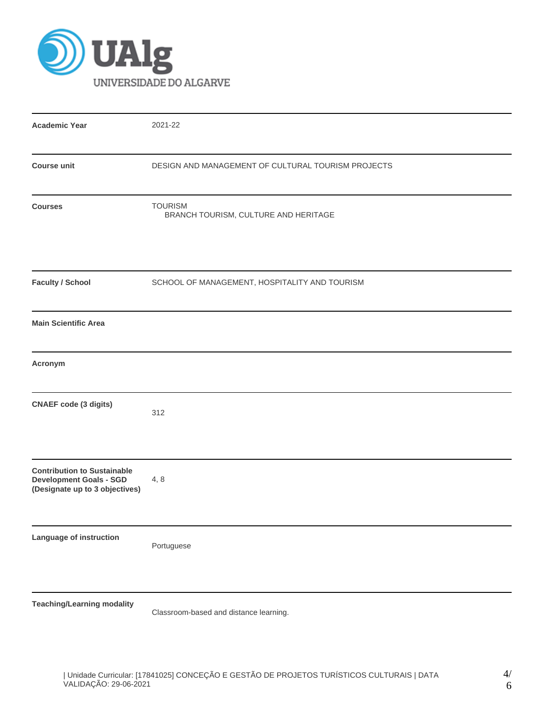

| <b>Academic Year</b>                                                                                   | 2021-22                                                |  |  |  |  |  |  |
|--------------------------------------------------------------------------------------------------------|--------------------------------------------------------|--|--|--|--|--|--|
| <b>Course unit</b>                                                                                     | DESIGN AND MANAGEMENT OF CULTURAL TOURISM PROJECTS     |  |  |  |  |  |  |
| <b>Courses</b>                                                                                         | <b>TOURISM</b><br>BRANCH TOURISM, CULTURE AND HERITAGE |  |  |  |  |  |  |
| <b>Faculty / School</b>                                                                                | SCHOOL OF MANAGEMENT, HOSPITALITY AND TOURISM          |  |  |  |  |  |  |
| <b>Main Scientific Area</b>                                                                            |                                                        |  |  |  |  |  |  |
| Acronym                                                                                                |                                                        |  |  |  |  |  |  |
| <b>CNAEF</b> code (3 digits)                                                                           | 312                                                    |  |  |  |  |  |  |
| <b>Contribution to Sustainable</b><br><b>Development Goals - SGD</b><br>(Designate up to 3 objectives) | 4, 8                                                   |  |  |  |  |  |  |
| Language of instruction                                                                                | Portuguese                                             |  |  |  |  |  |  |
| <b>Teaching/Learning modality</b>                                                                      | Classroom-based and distance learning.                 |  |  |  |  |  |  |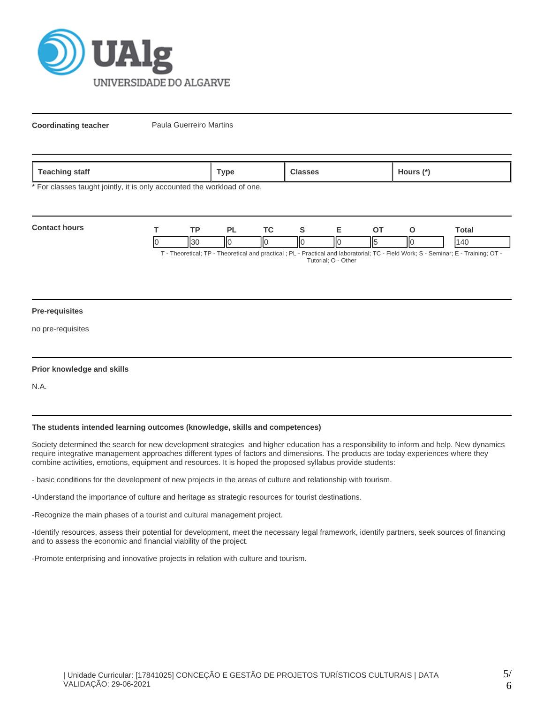

**Coordinating teacher** Paula Guerreiro Martins

| stan<br>. uuung | vpe' | . | ours |
|-----------------|------|---|------|
|-----------------|------|---|------|

\* For classes taught jointly, it is only accounted the workload of one.

| <b>Contact hours</b> |     |    |    |   |    |     |    | `otal                                                                                                                                                                                                                                        |
|----------------------|-----|----|----|---|----|-----|----|----------------------------------------------------------------------------------------------------------------------------------------------------------------------------------------------------------------------------------------------|
|                      | II3 | ΙЮ | ΙЮ | Ш | IЮ | 115 | ΙЮ | $\Delta($<br>$T$ . The contrast $TD$ . The contrast contrast of $D$ is $D$ and $D$ and the contrast $T$ $D$ . The HMA and $D$ $D$ $D$ and $D$ $T$ is $D$ $T$ is $D$ $T$ is $D$ $T$ is $D$ $T$ is $D$ $T$ is $D$ $T$ is $D$ $T$ is $D$ is $D$ |

T - Theoretical; TP - Theoretical and practical ; PL - Practical and laboratorial; TC - Field Work; S - Seminar; E - Training; OT - Tutorial; O - Other

#### **Pre-requisites**

no pre-requisites

## **Prior knowledge and skills**

N.A.

# **The students intended learning outcomes (knowledge, skills and competences)**

Society determined the search for new development strategies and higher education has a responsibility to inform and help. New dynamics require integrative management approaches different types of factors and dimensions. The products are today experiences where they combine activities, emotions, equipment and resources. It is hoped the proposed syllabus provide students:

- basic conditions for the development of new projects in the areas of culture and relationship with tourism.

-Understand the importance of culture and heritage as strategic resources for tourist destinations.

-Recognize the main phases of a tourist and cultural management project.

-Identify resources, assess their potential for development, meet the necessary legal framework, identify partners, seek sources of financing and to assess the economic and financial viability of the project.

-Promote enterprising and innovative projects in relation with culture and tourism.